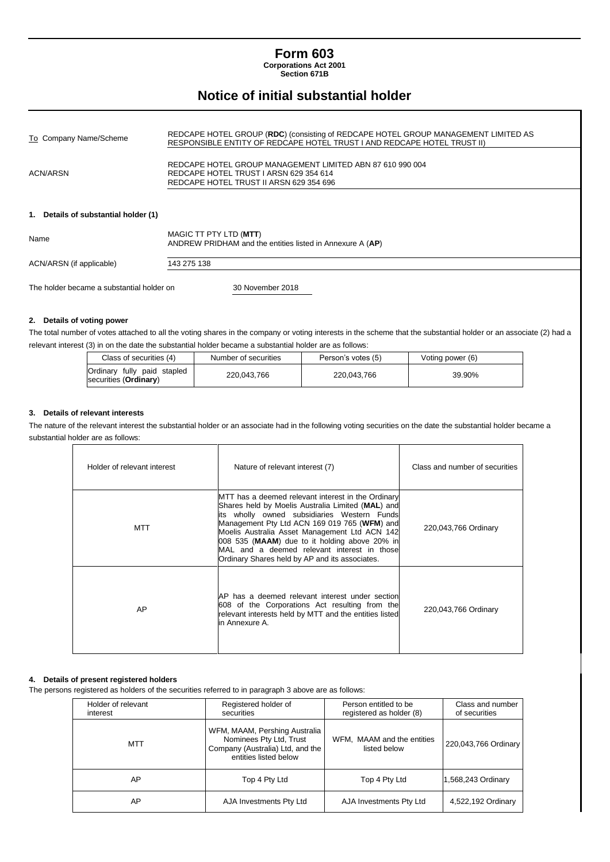# **Form 603**

**Corporations Act 2001 Section 671B**

# **Notice of initial substantial holder**

| To Company Name/Scheme               | REDCAPE HOTEL GROUP (RDC) (consisting of REDCAPE HOTEL GROUP MANAGEMENT LIMITED AS<br>RESPONSIBLE ENTITY OF REDCAPE HOTEL TRUST I AND REDCAPE HOTEL TRUST II) |  |
|--------------------------------------|---------------------------------------------------------------------------------------------------------------------------------------------------------------|--|
| ACN/ARSN                             | REDCAPE HOTEL GROUP MANAGEMENT LIMITED ABN 87 610 990 004<br>REDCAPE HOTEL TRUST I ARSN 629 354 614<br>REDCAPE HOTEL TRUST II ARSN 629 354 696                |  |
| 1. Details of substantial holder (1) |                                                                                                                                                               |  |
| Name                                 | MAGIC TT PTY LTD (MTT)<br>ANDREW PRIDHAM and the entities listed in Annexure A (AP)                                                                           |  |
| ACN/ARSN (if applicable)             | 143 275 138                                                                                                                                                   |  |

The holder became a substantial holder on 30 November 2018

#### **2. Details of voting power**

The total number of votes attached to all the voting shares in the company or voting interests in the scheme that the substantial holder or an associate (2) had a relevant interest (3) in on the date the substantial holder became a substantial holder are as follows:

| Class of securities (4)                                       | Number of securities | Person's votes (5) | Voting power (6) |  |
|---------------------------------------------------------------|----------------------|--------------------|------------------|--|
| Ordinary fully paid stapled<br>securities ( <b>Ordinary</b> ) | 220.043.766          | 220.043.766        | 39.90%           |  |

#### **3. Details of relevant interests**

The nature of the relevant interest the substantial holder or an associate had in the following voting securities on the date the substantial holder became a substantial holder are as follows:

| Holder of relevant interest | Nature of relevant interest (7)                                                                                                                                                                                                                                                                                                                                                                            | Class and number of securities |
|-----------------------------|------------------------------------------------------------------------------------------------------------------------------------------------------------------------------------------------------------------------------------------------------------------------------------------------------------------------------------------------------------------------------------------------------------|--------------------------------|
| MTT                         | MTT has a deemed relevant interest in the Ordinary<br>Shares held by Moelis Australia Limited (MAL) and<br>lits wholly owned subsidiaries Western Funds<br>Management Pty Ltd ACN 169 019 765 (WFM) and<br>Moelis Australia Asset Management Ltd ACN 142<br>008 535 (MAAM) due to it holding above 20% in<br>MAL and a deemed relevant interest in those<br>Ordinary Shares held by AP and its associates. | 220,043,766 Ordinary           |
| AP.                         | AP has a deemed relevant interest under section<br>608 of the Corporations Act resulting from the<br>relevant interests held by MTT and the entities listed<br>in Annexure A.                                                                                                                                                                                                                              | 220,043,766 Ordinary           |

#### **4. Details of present registered holders**

The persons registered as holders of the securities referred to in paragraph 3 above are as follows:

| Holder of relevant<br>interest | Registered holder of<br>securities                                                                                    | Person entitled to be<br>registered as holder (8) | Class and number<br>of securities |
|--------------------------------|-----------------------------------------------------------------------------------------------------------------------|---------------------------------------------------|-----------------------------------|
| MTT                            | WFM, MAAM, Pershing Australia<br>Nominees Pty Ltd, Trust<br>Company (Australia) Ltd, and the<br>entities listed below | WFM, MAAM and the entities<br>listed below        | 220,043,766 Ordinary              |
| AP                             | Top 4 Pty Ltd                                                                                                         | Top 4 Pty Ltd                                     | 1,568,243 Ordinary                |
| AP                             | AJA Investments Pty Ltd                                                                                               | AJA Investments Pty Ltd                           | 4,522,192 Ordinary                |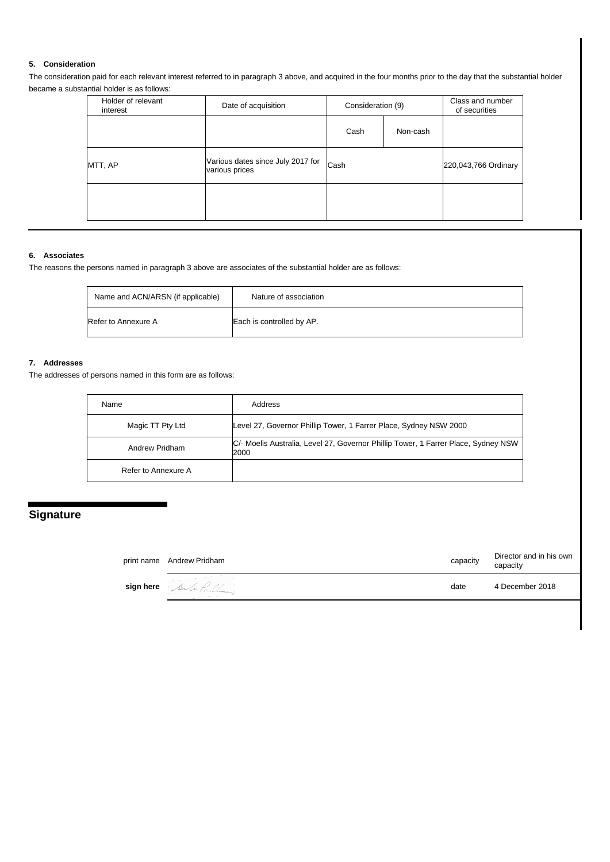## **5. Consideration**

The consideration paid for each relevant interest referred to in paragraph 3 above, and acquired in the four months prior to the day that the substantial holder became a substantial holder is as follows:

| Holder of relevant<br>interest | Date of acquisition                                 | Consideration (9) |          | Class and number<br>of securities |
|--------------------------------|-----------------------------------------------------|-------------------|----------|-----------------------------------|
|                                |                                                     | Cash              | Non-cash |                                   |
| MTT, AP                        | Various dates since July 2017 for<br>various prices | Cash              |          | 220,043,766 Ordinary              |
|                                |                                                     |                   |          |                                   |

#### **6. Associates**

The reasons the persons named in paragraph 3 above are associates of the substantial holder are as follows:

| Name and ACN/ARSN (if applicable) | Nature of association     |
|-----------------------------------|---------------------------|
| Refer to Annexure A               | Each is controlled by AP. |

#### **7. Addresses**

The addresses of persons named in this form are as follows:

| Name                | Address                                                                                    |
|---------------------|--------------------------------------------------------------------------------------------|
| Magic TT Pty Ltd    | Level 27, Governor Phillip Tower, 1 Farrer Place, Sydney NSW 2000                          |
| Andrew Pridham      | C/- Moelis Australia, Level 27, Governor Phillip Tower, 1 Farrer Place, Sydney NSW<br>2000 |
| Refer to Annexure A |                                                                                            |

# **Signature**

| print name Andrew Pridham | capacity | Director and in his own<br>capacity |
|---------------------------|----------|-------------------------------------|
| sign here Sule Problem    | date     | 4 December 2018                     |